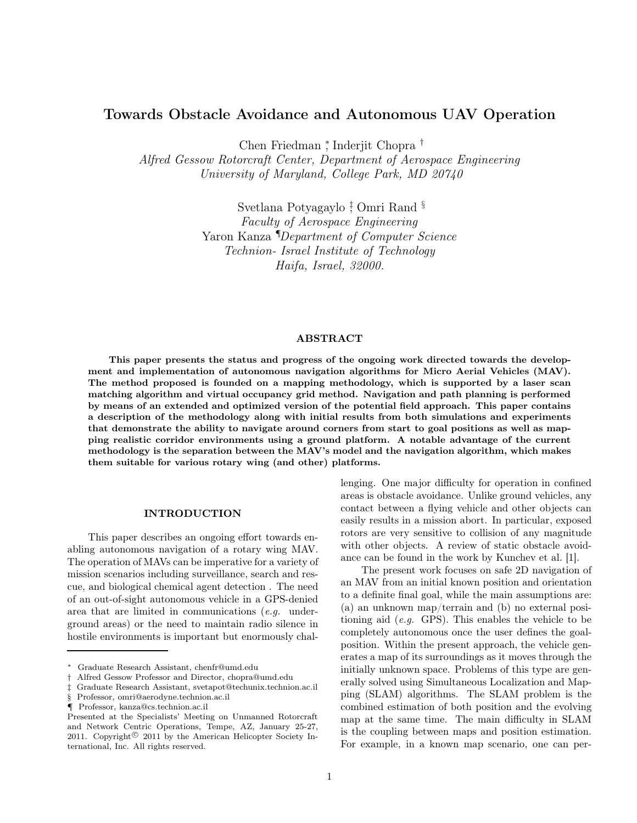# Towards Obstacle Avoidance and Autonomous UAV Operation

Chen Friedman <sup>∗</sup> , Inderjit Chopra †

Alfred Gessow Rotorcraft Center, Department of Aerospace Engineering University of Maryland, College Park, MD 20740

> Svetlana Potyagaylo <sup>†</sup> Omri Rand <sup>§</sup> Faculty of Aerospace Engineering Yaron Kanza *<sup>IDepartment of Computer Science*</sup> Technion- Israel Institute of Technology Haifa, Israel, 32000.

#### ABSTRACT

This paper presents the status and progress of the ongoing work directed towards the development and implementation of autonomous navigation algorithms for Micro Aerial Vehicles (MAV). The method proposed is founded on a mapping methodology, which is supported by a laser scan matching algorithm and virtual occupancy grid method. Navigation and path planning is performed by means of an extended and optimized version of the potential field approach. This paper contains a description of the methodology along with initial results from both simulations and experiments that demonstrate the ability to navigate around corners from start to goal positions as well as mapping realistic corridor environments using a ground platform. A notable advantage of the current methodology is the separation between the MAV's model and the navigation algorithm, which makes them suitable for various rotary wing (and other) platforms.

### INTRODUCTION

This paper describes an ongoing effort towards enabling autonomous navigation of a rotary wing MAV. The operation of MAVs can be imperative for a variety of mission scenarios including surveillance, search and rescue, and biological chemical agent detection . The need of an out-of-sight autonomous vehicle in a GPS-denied area that are limited in communications (e.g. underground areas) or the need to maintain radio silence in hostile environments is important but enormously challenging. One major difficulty for operation in confined areas is obstacle avoidance. Unlike ground vehicles, any contact between a flying vehicle and other objects can easily results in a mission abort. In particular, exposed rotors are very sensitive to collision of any magnitude with other objects. A review of static obstacle avoidance can be found in the work by Kunchev et al. [1].

The present work focuses on safe 2D navigation of an MAV from an initial known position and orientation to a definite final goal, while the main assumptions are: (a) an unknown map/terrain and (b) no external positioning aid  $(e.g. GPS)$ . This enables the vehicle to be completely autonomous once the user defines the goalposition. Within the present approach, the vehicle generates a map of its surroundings as it moves through the initially unknown space. Problems of this type are generally solved using Simultaneous Localization and Mapping (SLAM) algorithms. The SLAM problem is the combined estimation of both position and the evolving map at the same time. The main difficulty in SLAM is the coupling between maps and position estimation. For example, in a known map scenario, one can per-

<sup>∗</sup> Graduate Research Assistant, chenfr@umd.edu

<sup>†</sup> Alfred Gessow Professor and Director, chopra@umd.edu

<sup>‡</sup> Graduate Research Assistant, svetapot@techunix.technion.ac.il

<sup>§</sup> Professor, omri@aerodyne.technion.ac.il

<sup>¶</sup> Professor, kanza@cs.technion.ac.il

Presented at the Specialists' Meeting on Unmanned Rotorcraft and Network Centric Operations, Tempe, AZ, January 25-27, 2011. Copyright<sup> $©$ </sup> 2011 by the American Helicopter Society International, Inc. All rights reserved.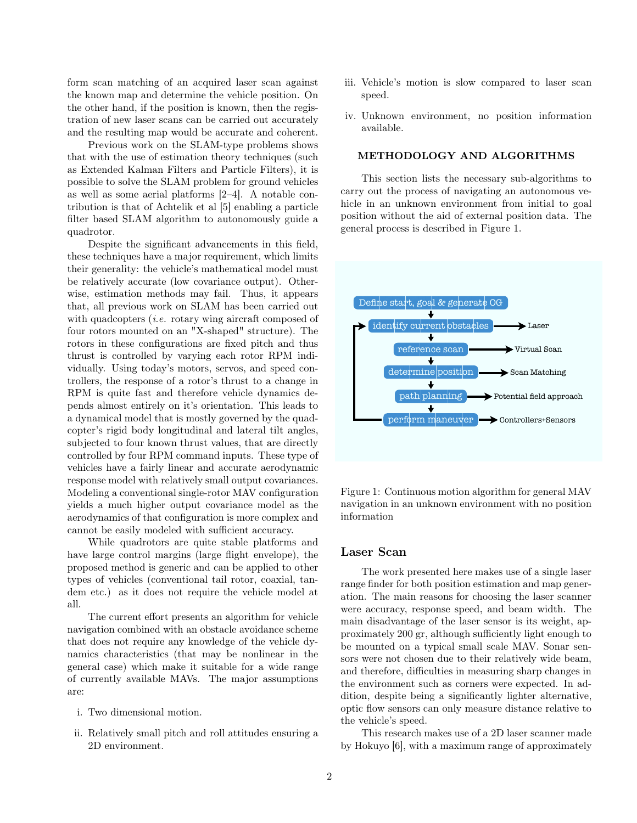form scan matching of an acquired laser scan against the known map and determine the vehicle position. On the other hand, if the position is known, then the registration of new laser scans can be carried out accurately and the resulting map would be accurate and coherent.

Previous work on the SLAM-type problems shows that with the use of estimation theory techniques (such as Extended Kalman Filters and Particle Filters), it is possible to solve the SLAM problem for ground vehicles as well as some aerial platforms [2–4]. A notable contribution is that of Achtelik et al [5] enabling a particle filter based SLAM algorithm to autonomously guide a quadrotor.

Despite the significant advancements in this field, these techniques have a major requirement, which limits their generality: the vehicle's mathematical model must be relatively accurate (low covariance output). Otherwise, estimation methods may fail. Thus, it appears that, all previous work on SLAM has been carried out with quadcopters *(i.e.* rotary wing aircraft composed of four rotors mounted on an "X-shaped" structure). The rotors in these configurations are fixed pitch and thus thrust is controlled by varying each rotor RPM individually. Using today's motors, servos, and speed controllers, the response of a rotor's thrust to a change in RPM is quite fast and therefore vehicle dynamics depends almost entirely on it's orientation. This leads to a dynamical model that is mostly governed by the quadcopter's rigid body longitudinal and lateral tilt angles, subjected to four known thrust values, that are directly controlled by four RPM command inputs. These type of vehicles have a fairly linear and accurate aerodynamic response model with relatively small output covariances. Modeling a conventional single-rotor MAV configuration yields a much higher output covariance model as the aerodynamics of that configuration is more complex and cannot be easily modeled with sufficient accuracy.

While quadrotors are quite stable platforms and have large control margins (large flight envelope), the proposed method is generic and can be applied to other types of vehicles (conventional tail rotor, coaxial, tandem etc.) as it does not require the vehicle model at all.

The current effort presents an algorithm for vehicle navigation combined with an obstacle avoidance scheme that does not require any knowledge of the vehicle dynamics characteristics (that may be nonlinear in the general case) which make it suitable for a wide range of currently available MAVs. The major assumptions are:

- i. Two dimensional motion.
- ii. Relatively small pitch and roll attitudes ensuring a 2D environment.
- iii. Vehicle's motion is slow compared to laser scan speed.
- iv. Unknown environment, no position information available.

### METHODOLOGY AND ALGORITHMS

This section lists the necessary sub-algorithms to carry out the process of navigating an autonomous vehicle in an unknown environment from initial to goal position without the aid of external position data. The general process is described in Figure 1.



Figure 1: Continuous motion algorithm for general MAV navigation in an unknown environment with no position information

#### Laser Scan

The work presented here makes use of a single laser range finder for both position estimation and map generation. The main reasons for choosing the laser scanner were accuracy, response speed, and beam width. The main disadvantage of the laser sensor is its weight, approximately 200 gr, although sufficiently light enough to be mounted on a typical small scale MAV. Sonar sensors were not chosen due to their relatively wide beam, and therefore, difficulties in measuring sharp changes in the environment such as corners were expected. In addition, despite being a significantly lighter alternative, optic flow sensors can only measure distance relative to the vehicle's speed.

This research makes use of a 2D laser scanner made by Hokuyo [6], with a maximum range of approximately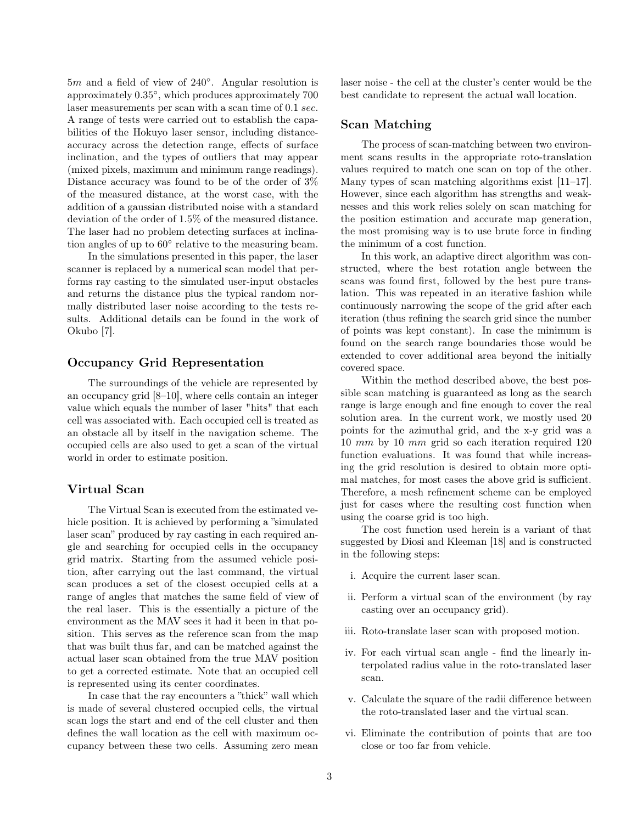5m and a field of view of 240◦ . Angular resolution is approximately 0.35◦ , which produces approximately 700 laser measurements per scan with a scan time of 0.1 sec. A range of tests were carried out to establish the capabilities of the Hokuyo laser sensor, including distanceaccuracy across the detection range, effects of surface inclination, and the types of outliers that may appear (mixed pixels, maximum and minimum range readings). Distance accuracy was found to be of the order of 3% of the measured distance, at the worst case, with the addition of a gaussian distributed noise with a standard deviation of the order of 1.5% of the measured distance. The laser had no problem detecting surfaces at inclination angles of up to  $60^{\circ}$  relative to the measuring beam.

In the simulations presented in this paper, the laser scanner is replaced by a numerical scan model that performs ray casting to the simulated user-input obstacles and returns the distance plus the typical random normally distributed laser noise according to the tests results. Additional details can be found in the work of Okubo [7].

# Occupancy Grid Representation

The surroundings of the vehicle are represented by an occupancy grid [8–10], where cells contain an integer value which equals the number of laser "hits" that each cell was associated with. Each occupied cell is treated as an obstacle all by itself in the navigation scheme. The occupied cells are also used to get a scan of the virtual world in order to estimate position.

### Virtual Scan

The Virtual Scan is executed from the estimated vehicle position. It is achieved by performing a "simulated" laser scan" produced by ray casting in each required angle and searching for occupied cells in the occupancy grid matrix. Starting from the assumed vehicle position, after carrying out the last command, the virtual scan produces a set of the closest occupied cells at a range of angles that matches the same field of view of the real laser. This is the essentially a picture of the environment as the MAV sees it had it been in that position. This serves as the reference scan from the map that was built thus far, and can be matched against the actual laser scan obtained from the true MAV position to get a corrected estimate. Note that an occupied cell is represented using its center coordinates.

In case that the ray encounters a "thick" wall which is made of several clustered occupied cells, the virtual scan logs the start and end of the cell cluster and then defines the wall location as the cell with maximum occupancy between these two cells. Assuming zero mean laser noise - the cell at the cluster's center would be the best candidate to represent the actual wall location.

# Scan Matching

The process of scan-matching between two environment scans results in the appropriate roto-translation values required to match one scan on top of the other. Many types of scan matching algorithms exist [11–17]. However, since each algorithm has strengths and weaknesses and this work relies solely on scan matching for the position estimation and accurate map generation, the most promising way is to use brute force in finding the minimum of a cost function.

In this work, an adaptive direct algorithm was constructed, where the best rotation angle between the scans was found first, followed by the best pure translation. This was repeated in an iterative fashion while continuously narrowing the scope of the grid after each iteration (thus refining the search grid since the number of points was kept constant). In case the minimum is found on the search range boundaries those would be extended to cover additional area beyond the initially covered space.

Within the method described above, the best possible scan matching is guaranteed as long as the search range is large enough and fine enough to cover the real solution area. In the current work, we mostly used 20 points for the azimuthal grid, and the x-y grid was a 10 mm by 10 mm grid so each iteration required 120 function evaluations. It was found that while increasing the grid resolution is desired to obtain more optimal matches, for most cases the above grid is sufficient. Therefore, a mesh refinement scheme can be employed just for cases where the resulting cost function when using the coarse grid is too high.

The cost function used herein is a variant of that suggested by Diosi and Kleeman [18] and is constructed in the following steps:

- i. Acquire the current laser scan.
- ii. Perform a virtual scan of the environment (by ray casting over an occupancy grid).
- iii. Roto-translate laser scan with proposed motion.
- iv. For each virtual scan angle find the linearly interpolated radius value in the roto-translated laser scan.
- v. Calculate the square of the radii difference between the roto-translated laser and the virtual scan.
- vi. Eliminate the contribution of points that are too close or too far from vehicle.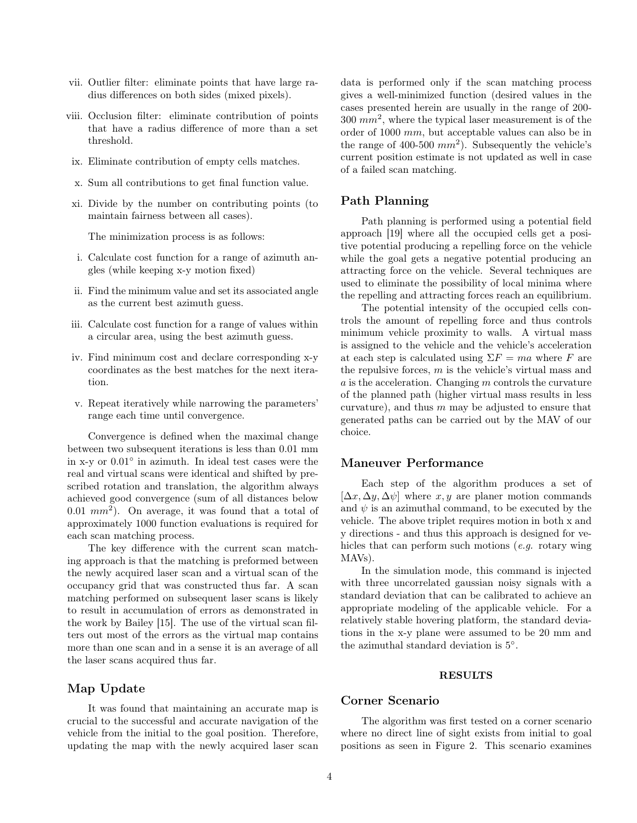- vii. Outlier filter: eliminate points that have large radius differences on both sides (mixed pixels).
- viii. Occlusion filter: eliminate contribution of points that have a radius difference of more than a set threshold.
- ix. Eliminate contribution of empty cells matches.
- x. Sum all contributions to get final function value.
- xi. Divide by the number on contributing points (to maintain fairness between all cases).

The minimization process is as follows:

- i. Calculate cost function for a range of azimuth angles (while keeping x-y motion fixed)
- ii. Find the minimum value and set its associated angle as the current best azimuth guess.
- iii. Calculate cost function for a range of values within a circular area, using the best azimuth guess.
- iv. Find minimum cost and declare corresponding x-y coordinates as the best matches for the next iteration.
- v. Repeat iteratively while narrowing the parameters' range each time until convergence.

Convergence is defined when the maximal change between two subsequent iterations is less than 0.01 mm in x-y or 0.01◦ in azimuth. In ideal test cases were the real and virtual scans were identical and shifted by prescribed rotation and translation, the algorithm always achieved good convergence (sum of all distances below 0.01  $mm^2$ ). On average, it was found that a total of approximately 1000 function evaluations is required for each scan matching process.

The key difference with the current scan matching approach is that the matching is preformed between the newly acquired laser scan and a virtual scan of the occupancy grid that was constructed thus far. A scan matching performed on subsequent laser scans is likely to result in accumulation of errors as demonstrated in the work by Bailey [15]. The use of the virtual scan filters out most of the errors as the virtual map contains more than one scan and in a sense it is an average of all the laser scans acquired thus far.

# Map Update

It was found that maintaining an accurate map is crucial to the successful and accurate navigation of the vehicle from the initial to the goal position. Therefore, updating the map with the newly acquired laser scan

data is performed only if the scan matching process gives a well-minimized function (desired values in the cases presented herein are usually in the range of 200-  $300 \; \text{mm}^2$ , where the typical laser measurement is of the order of 1000 mm, but acceptable values can also be in the range of 400-500  $mm^2$ ). Subsequently the vehicle's current position estimate is not updated as well in case of a failed scan matching.

# Path Planning

Path planning is performed using a potential field approach [19] where all the occupied cells get a positive potential producing a repelling force on the vehicle while the goal gets a negative potential producing an attracting force on the vehicle. Several techniques are used to eliminate the possibility of local minima where the repelling and attracting forces reach an equilibrium.

The potential intensity of the occupied cells controls the amount of repelling force and thus controls minimum vehicle proximity to walls. A virtual mass is assigned to the vehicle and the vehicle's acceleration at each step is calculated using  $\Sigma F = ma$  where F are the repulsive forces,  $m$  is the vehicle's virtual mass and  $a$  is the acceleration. Changing  $m$  controls the curvature of the planned path (higher virtual mass results in less curvature), and thus  $m$  may be adjusted to ensure that generated paths can be carried out by the MAV of our choice.

#### Maneuver Performance

Each step of the algorithm produces a set of  $[\Delta x, \Delta y, \Delta \psi]$  where x, y are planer motion commands and  $\psi$  is an azimuthal command, to be executed by the vehicle. The above triplet requires motion in both x and y directions - and thus this approach is designed for vehicles that can perform such motions (*e.g.* rotary wing MAVs).

In the simulation mode, this command is injected with three uncorrelated gaussian noisy signals with a standard deviation that can be calibrated to achieve an appropriate modeling of the applicable vehicle. For a relatively stable hovering platform, the standard deviations in the x-y plane were assumed to be 20 mm and the azimuthal standard deviation is  $5^{\circ}$ .

### RESULTS

### Corner Scenario

The algorithm was first tested on a corner scenario where no direct line of sight exists from initial to goal positions as seen in Figure 2. This scenario examines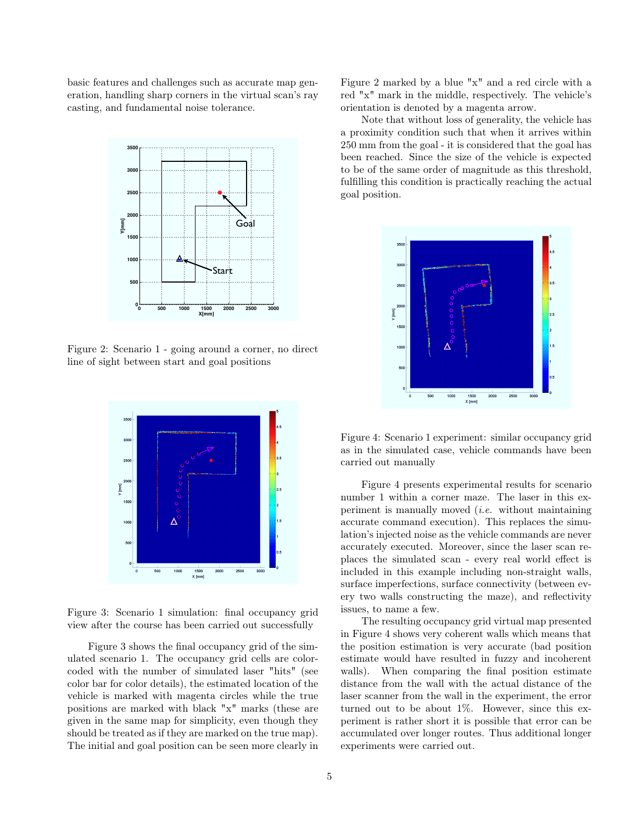basic features and challenges such as accurate map generation, handling sharp corners in the virtual scan's ray casting, and fundamental noise tolerance.



Figure 2: Scenario 1 - going around a corner, no direct line of sight between start and goal positions



Figure 3: Scenario 1 simulation: final occupancy grid view after the course has been carried out successfully

Figure 3 shows the final occupancy grid of the simulated scenario 1. The occupancy grid cells are colorcoded with the number of simulated laser "hits" (see color bar for color details), the estimated location of the vehicle is marked with magenta circles while the true positions are marked with black "x" marks (these are given in the same map for simplicity, even though they should be treated as if they are marked on the true map). The initial and goal position can be seen more clearly in Figure 2 marked by a blue "x" and a red circle with a red "x" mark in the middle, respectively. The vehicle's orientation is denoted by a magenta arrow.

Note that without loss of generality, the vehicle has a proximity condition such that when it arrives within 250 mm from the goal - it is considered that the goal has been reached. Since the size of the vehicle is expected to be of the same order of magnitude as this threshold, fulfilling this condition is practically reaching the actual goal position.



Figure 4: Scenario 1 experiment: similar occupancy grid as in the simulated case, vehicle commands have been carried out manually

Figure 4 presents experimental results for scenario number 1 within a corner maze. The laser in this experiment is manually moved (i.e. without maintaining accurate command execution). This replaces the simulation's injected noise as the vehicle commands are never accurately executed. Moreover, since the laser scan replaces the simulated scan - every real world effect is included in this example including non-straight walls, surface imperfections, surface connectivity (between every two walls constructing the maze), and reflectivity issues, to name a few.

The resulting occupancy grid virtual map presented in Figure 4 shows very coherent walls which means that the position estimation is very accurate (bad position estimate would have resulted in fuzzy and incoherent walls). When comparing the final position estimate distance from the wall with the actual distance of the laser scanner from the wall in the experiment, the error turned out to be about 1%. However, since this experiment is rather short it is possible that error can be accumulated over longer routes. Thus additional longer experiments were carried out.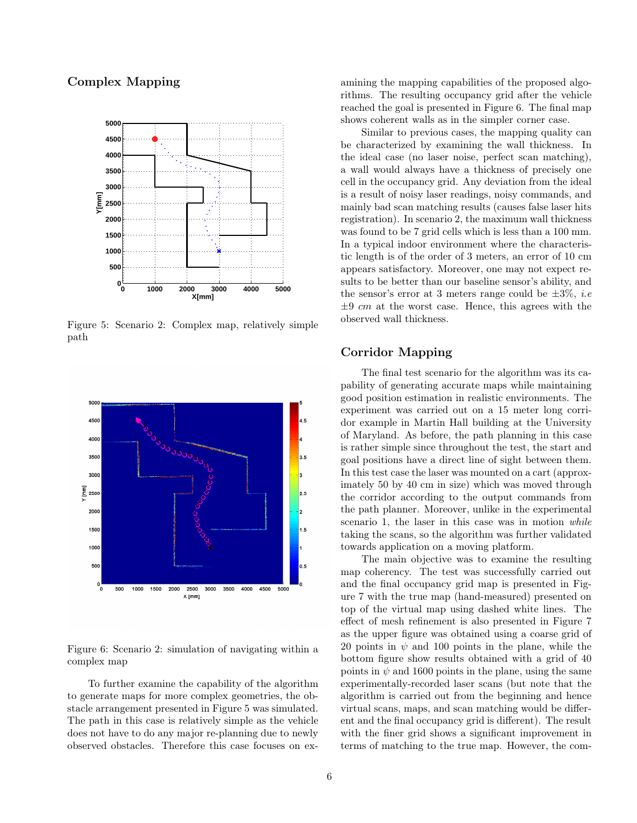# Complex Mapping



Figure 5: Scenario 2: Complex map, relatively simple path



Figure 6: Scenario 2: simulation of navigating within a complex map

To further examine the capability of the algorithm to generate maps for more complex geometries, the obstacle arrangement presented in Figure 5 was simulated. The path in this case is relatively simple as the vehicle does not have to do any major re-planning due to newly observed obstacles. Therefore this case focuses on ex-

amining the mapping capabilities of the proposed algorithms. The resulting occupancy grid after the vehicle reached the goal is presented in Figure 6. The final map shows coherent walls as in the simpler corner case.

Similar to previous cases, the mapping quality can be characterized by examining the wall thickness. In the ideal case (no laser noise, perfect scan matching), a wall would always have a thickness of precisely one cell in the occupancy grid. Any deviation from the ideal is a result of noisy laser readings, noisy commands, and mainly bad scan matching results (causes false laser hits registration). In scenario 2, the maximum wall thickness was found to be 7 grid cells which is less than a 100 mm. In a typical indoor environment where the characteristic length is of the order of 3 meters, an error of 10 cm appears satisfactory. Moreover, one may not expect results to be better than our baseline sensor's ability, and the sensor's error at 3 meters range could be  $\pm 3\%$ , *i.e*  $\pm 9$  cm at the worst case. Hence, this agrees with the observed wall thickness.

# Corridor Mapping

The final test scenario for the algorithm was its capability of generating accurate maps while maintaining good position estimation in realistic environments. The experiment was carried out on a 15 meter long corridor example in Martin Hall building at the University of Maryland. As before, the path planning in this case is rather simple since throughout the test, the start and goal positions have a direct line of sight between them. In this test case the laser was mounted on a cart (approximately 50 by 40 cm in size) which was moved through the corridor according to the output commands from the path planner. Moreover, unlike in the experimental scenario 1, the laser in this case was in motion while taking the scans, so the algorithm was further validated towards application on a moving platform.

The main objective was to examine the resulting map coherency. The test was successfully carried out and the final occupancy grid map is presented in Figure 7 with the true map (hand-measured) presented on top of the virtual map using dashed white lines. The effect of mesh refinement is also presented in Figure 7 as the upper figure was obtained using a coarse grid of 20 points in  $\psi$  and 100 points in the plane, while the bottom figure show results obtained with a grid of 40 points in  $\psi$  and 1600 points in the plane, using the same experimentally-recorded laser scans (but note that the algorithm is carried out from the beginning and hence virtual scans, maps, and scan matching would be different and the final occupancy grid is different). The result with the finer grid shows a significant improvement in terms of matching to the true map. However, the com-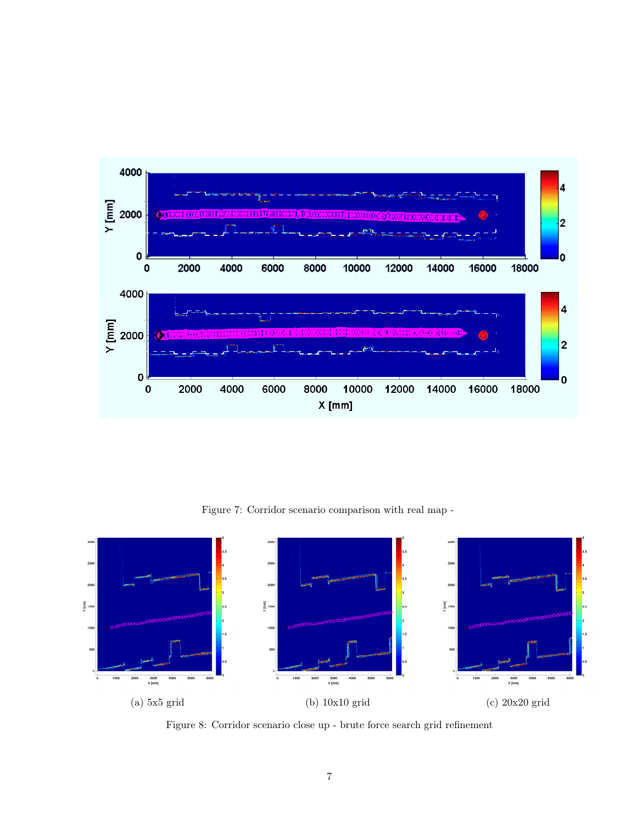

Figure 7: Corridor scenario comparison with real map -



Figure 8: Corridor scenario close up - brute force search grid refinement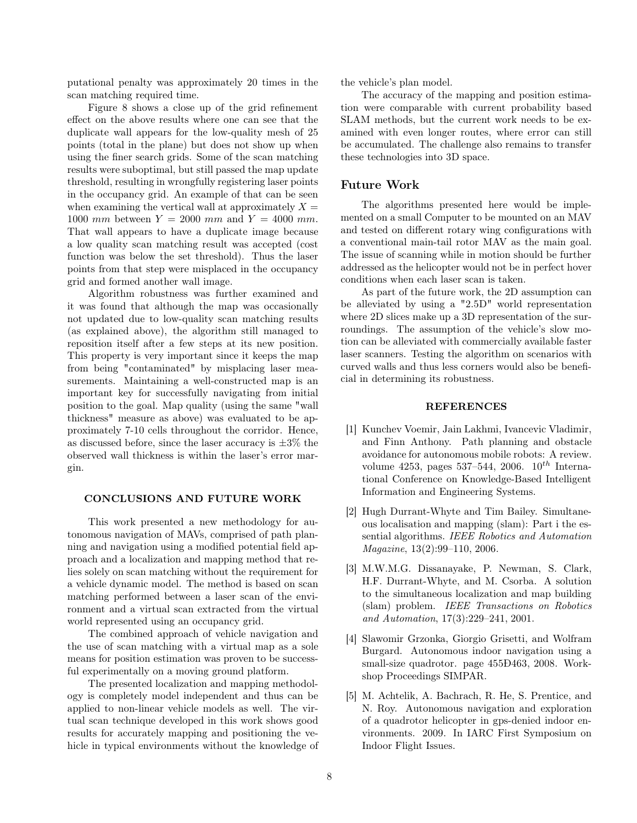putational penalty was approximately 20 times in the scan matching required time.

Figure 8 shows a close up of the grid refinement effect on the above results where one can see that the duplicate wall appears for the low-quality mesh of 25 points (total in the plane) but does not show up when using the finer search grids. Some of the scan matching results were suboptimal, but still passed the map update threshold, resulting in wrongfully registering laser points in the occupancy grid. An example of that can be seen when examining the vertical wall at approximately  $X =$ 1000 mm between  $Y = 2000$  mm and  $Y = 4000$  mm. That wall appears to have a duplicate image because a low quality scan matching result was accepted (cost function was below the set threshold). Thus the laser points from that step were misplaced in the occupancy grid and formed another wall image.

Algorithm robustness was further examined and it was found that although the map was occasionally not updated due to low-quality scan matching results (as explained above), the algorithm still managed to reposition itself after a few steps at its new position. This property is very important since it keeps the map from being "contaminated" by misplacing laser measurements. Maintaining a well-constructed map is an important key for successfully navigating from initial position to the goal. Map quality (using the same "wall thickness" measure as above) was evaluated to be approximately 7-10 cells throughout the corridor. Hence, as discussed before, since the laser accuracy is  $\pm 3\%$  the observed wall thickness is within the laser's error margin.

#### CONCLUSIONS AND FUTURE WORK

This work presented a new methodology for autonomous navigation of MAVs, comprised of path planning and navigation using a modified potential field approach and a localization and mapping method that relies solely on scan matching without the requirement for a vehicle dynamic model. The method is based on scan matching performed between a laser scan of the environment and a virtual scan extracted from the virtual world represented using an occupancy grid.

The combined approach of vehicle navigation and the use of scan matching with a virtual map as a sole means for position estimation was proven to be successful experimentally on a moving ground platform.

The presented localization and mapping methodology is completely model independent and thus can be applied to non-linear vehicle models as well. The virtual scan technique developed in this work shows good results for accurately mapping and positioning the vehicle in typical environments without the knowledge of the vehicle's plan model.

The accuracy of the mapping and position estimation were comparable with current probability based SLAM methods, but the current work needs to be examined with even longer routes, where error can still be accumulated. The challenge also remains to transfer these technologies into 3D space.

#### Future Work

The algorithms presented here would be implemented on a small Computer to be mounted on an MAV and tested on different rotary wing configurations with a conventional main-tail rotor MAV as the main goal. The issue of scanning while in motion should be further addressed as the helicopter would not be in perfect hover conditions when each laser scan is taken.

As part of the future work, the 2D assumption can be alleviated by using a "2.5D" world representation where 2D slices make up a 3D representation of the surroundings. The assumption of the vehicle's slow motion can be alleviated with commercially available faster laser scanners. Testing the algorithm on scenarios with curved walls and thus less corners would also be beneficial in determining its robustness.

### **REFERENCES**

- [1] Kunchev Voemir, Jain Lakhmi, Ivancevic Vladimir, and Finn Anthony. Path planning and obstacle avoidance for autonomous mobile robots: A review. volume 4253, pages 537–544, 2006.  $10^{th}$  International Conference on Knowledge-Based Intelligent Information and Engineering Systems.
- [2] Hugh Durrant-Whyte and Tim Bailey. Simultaneous localisation and mapping (slam): Part i the essential algorithms. IEEE Robotics and Automation Magazine, 13(2):99–110, 2006.
- [3] M.W.M.G. Dissanayake, P. Newman, S. Clark, H.F. Durrant-Whyte, and M. Csorba. A solution to the simultaneous localization and map building (slam) problem. IEEE Transactions on Robotics and Automation, 17(3):229–241, 2001.
- [4] Slawomir Grzonka, Giorgio Grisetti, and Wolfram Burgard. Autonomous indoor navigation using a small-size quadrotor. page 455Ð463, 2008. Workshop Proceedings SIMPAR.
- [5] M. Achtelik, A. Bachrach, R. He, S. Prentice, and N. Roy. Autonomous navigation and exploration of a quadrotor helicopter in gps-denied indoor environments. 2009. In IARC First Symposium on Indoor Flight Issues.